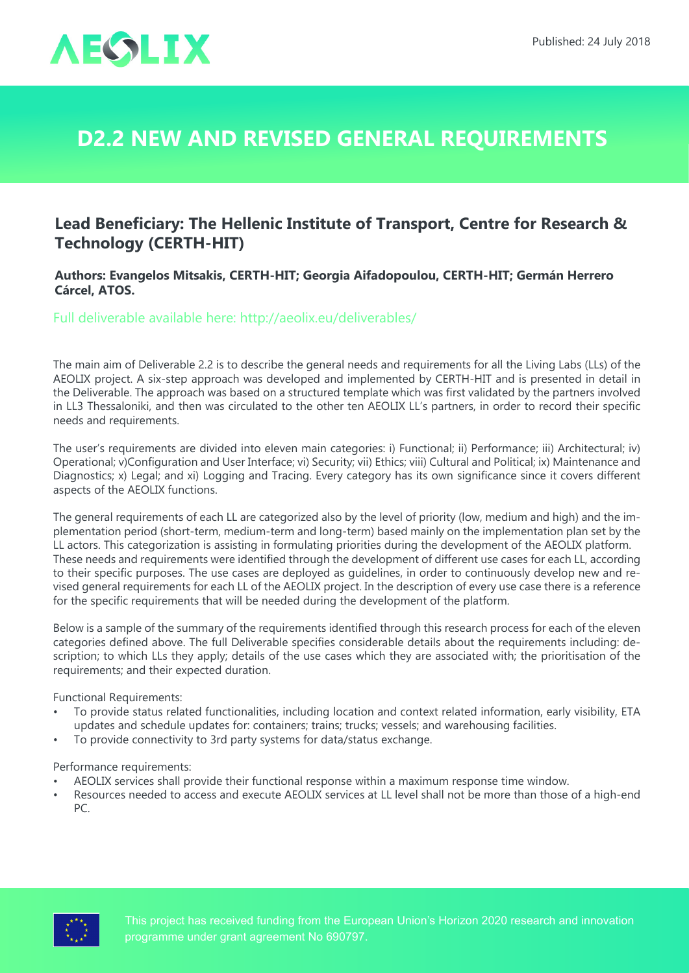

## **D2.2 New and Revised General Requirements**

## **Lead Beneficiary: The Hellenic Institute of Transport, Centre for Research & Technology (CERTH-HIT)**

## **Authors: Evangelos Mitsakis, CERTH-HIT; Georgia Aifadopoulou, CERTH-HIT; Germán Herrero Cárcel, ATOS.**

Full deliverable available here: <http://aeolix.eu/deliverables/>

The main aim of Deliverable 2.2 is to describe the general needs and requirements for all the Living Labs (LLs) of the AEOLIX project. A six-step approach was developed and implemented by CERTH-HIT and is presented in detail in the Deliverable. The approach was based on a structured template which was first validated by the partners involved in LL3 Thessaloniki, and then was circulated to the other ten AEOLIX LL's partners, in order to record their specific needs and requirements.

The user's requirements are divided into eleven main categories: i) Functional; ii) Performance; iii) Architectural; iv) Operational; v)Configuration and User Interface; vi) Security; vii) Ethics; viii) Cultural and Political; ix) Maintenance and Diagnostics; x) Legal; and xi) Logging and Tracing. Every category has its own significance since it covers different aspects of the AEOLIX functions.

The general requirements of each LL are categorized also by the level of priority (low, medium and high) and the implementation period (short-term, medium-term and long-term) based mainly on the implementation plan set by the LL actors. This categorization is assisting in formulating priorities during the development of the AEOLIX platform. These needs and requirements were identified through the development of different use cases for each LL, according to their specific purposes. The use cases are deployed as guidelines, in order to continuously develop new and revised general requirements for each LL of the AEOLIX project. In the description of every use case there is a reference for the specific requirements that will be needed during the development of the platform.

Below is a sample of the summary of the requirements identified through this research process for each of the eleven categories defined above. The full Deliverable specifies considerable details about the requirements including: description; to which LLs they apply; details of the use cases which they are associated with; the prioritisation of the requirements; and their expected duration.

Functional Requirements:

- To provide status related functionalities, including location and context related information, early visibility, ETA updates and schedule updates for: containers; trains; trucks; vessels; and warehousing facilities.
- To provide connectivity to 3rd party systems for data/status exchange.

Performance requirements:

- AEOLIX services shall provide their functional response within a maximum response time window.
- Resources needed to access and execute AEOLIX services at LL level shall not be more than those of a high-end PC.